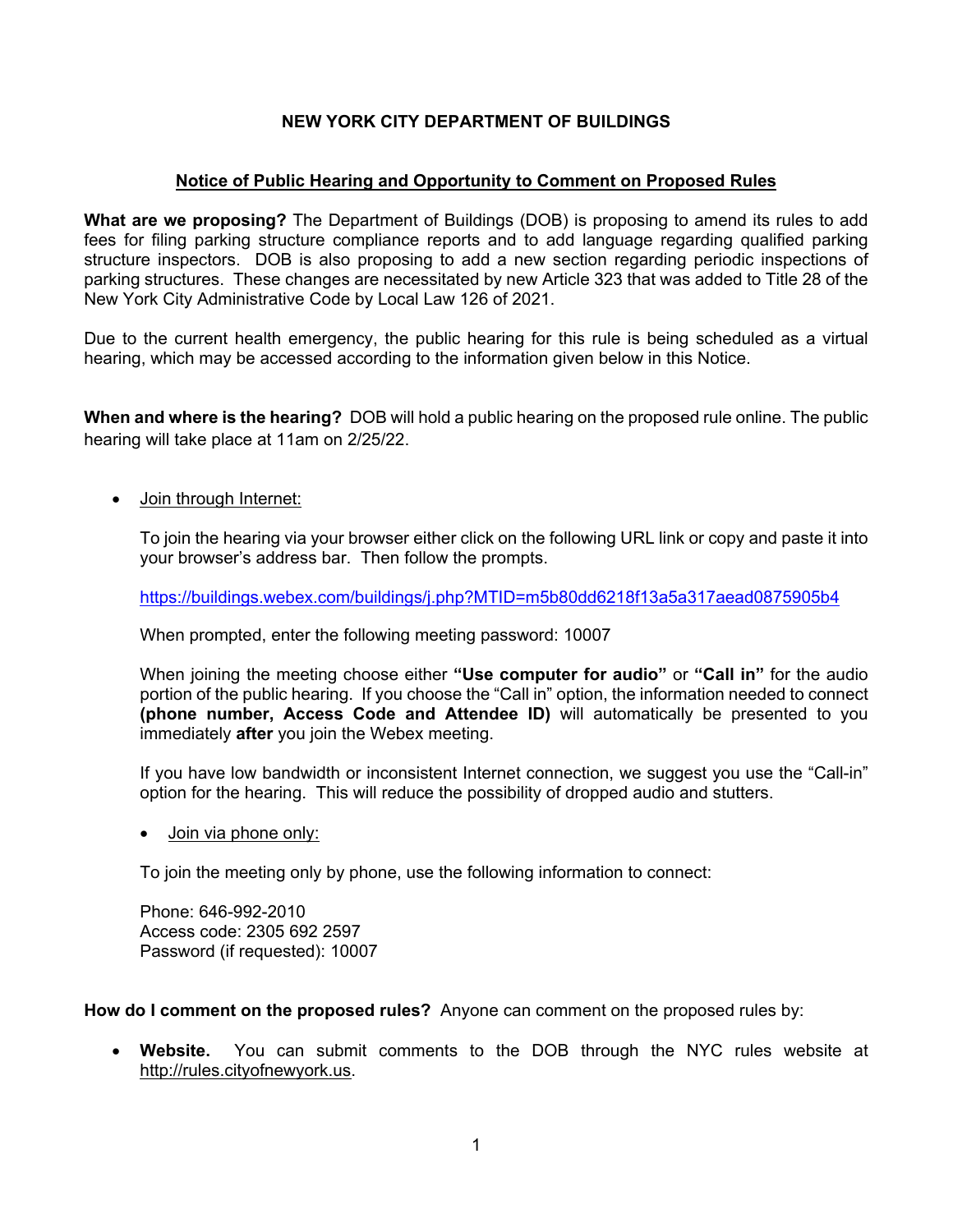# **NEW YORK CITY DEPARTMENT OF BUILDINGS**

# **Notice of Public Hearing and Opportunity to Comment on Proposed Rules**

**What are we proposing?** The Department of Buildings (DOB) is proposing to amend its rules to add fees for filing parking structure compliance reports and to add language regarding qualified parking structure inspectors. DOB is also proposing to add a new section regarding periodic inspections of parking structures. These changes are necessitated by new Article 323 that was added to Title 28 of the New York City Administrative Code by Local Law 126 of 2021.

Due to the current health emergency, the public hearing for this rule is being scheduled as a virtual hearing, which may be accessed according to the information given below in this Notice.

**When and where is the hearing?** DOB will hold a public hearing on the proposed rule online. The public hearing will take place at 11am on 2/25/22.

• Join through Internet:

To join the hearing via your browser either click on the following URL link or copy and paste it into your browser's address bar. Then follow the prompts.

<https://buildings.webex.com/buildings/j.php?MTID=m5b80dd6218f13a5a317aead0875905b4>

When prompted, enter the following meeting password: 10007

When joining the meeting choose either **"Use computer for audio"** or **"Call in"** for the audio portion of the public hearing. If you choose the "Call in" option, the information needed to connect **(phone number, Access Code and Attendee ID)** will automatically be presented to you immediately **after** you join the Webex meeting.

If you have low bandwidth or inconsistent Internet connection, we suggest you use the "Call-in" option for the hearing. This will reduce the possibility of dropped audio and stutters.

Join via phone only:

To join the meeting only by phone, use the following information to connect:

Phone: 646-992-2010 Access code: 2305 692 2597 Password (if requested): 10007

**How do I comment on the proposed rules?** Anyone can comment on the proposed rules by:

 **Website.** You can submit comments to the DOB through the NYC rules website at [http://rules.cityofnewyork.us.](http://rules.cityofnewyork.us/)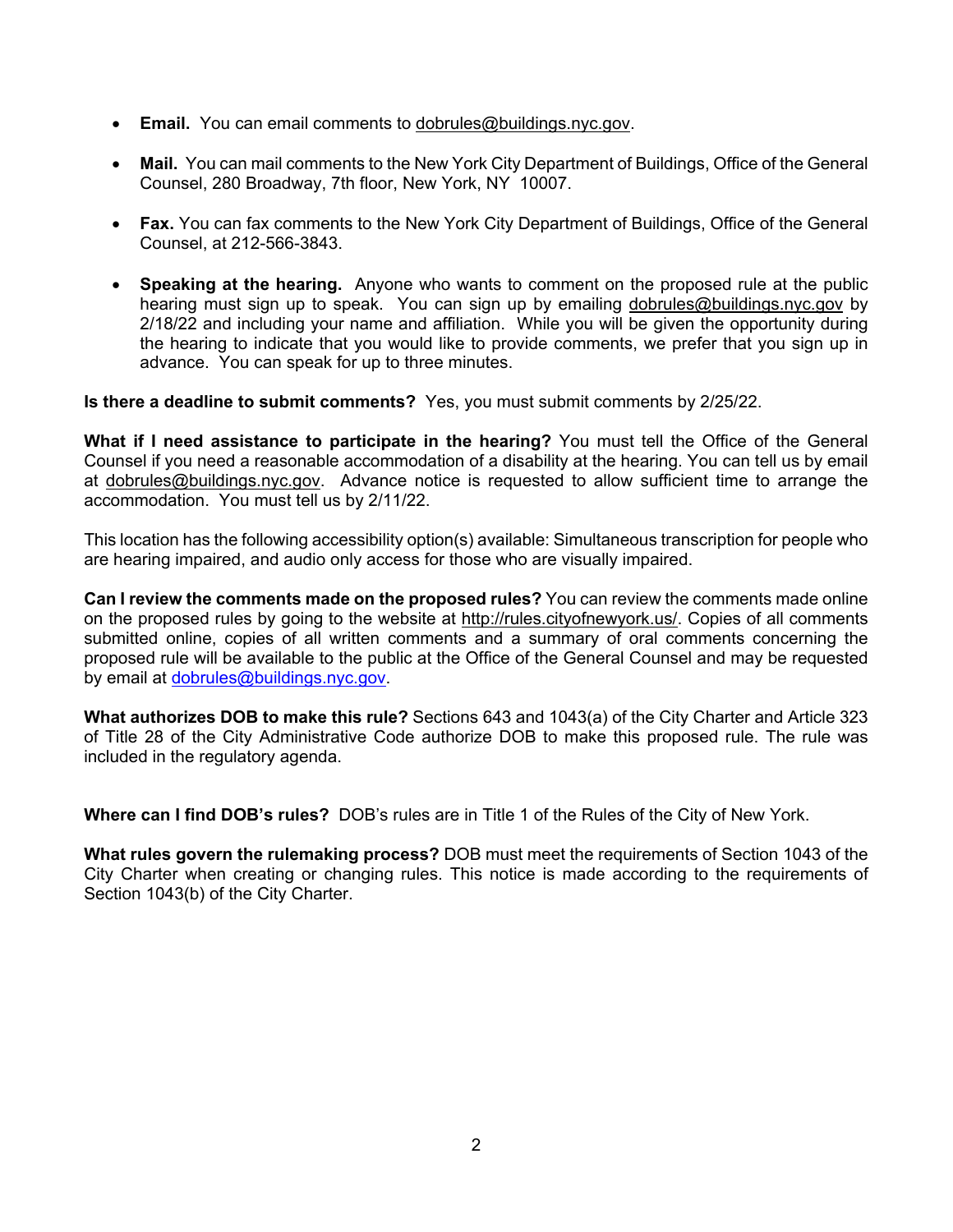- **Email.** You can email comments to [dobrules@buildings.nyc.gov](mailto:dobrules@buildings.nyc.gov).
- **Mail.** You can mail comments to the New York City Department of Buildings, Office of the General Counsel, 280 Broadway, 7th floor, New York, NY 10007.
- **Fax.** You can fax comments to the New York City Department of Buildings, Office of the General Counsel, at 212-566-3843.
- **Speaking at the hearing.** Anyone who wants to comment on the proposed rule at the public hearing must sign up to speak. You can sign up by emailing [dobrules@buildings.nyc.gov](mailto:dobrules@buildings.nyc.gov) by 2/18/22 and including your name and affiliation. While you will be given the opportunity during the hearing to indicate that you would like to provide comments, we prefer that you sign up in advance. You can speak for up to three minutes.

**Is there a deadline to submit comments?** Yes, you must submit comments by 2/25/22.

**What if I need assistance to participate in the hearing?** You must tell the Office of the General Counsel if you need a reasonable accommodation of a disability at the hearing. You can tell us by email at [dobrules@buildings.nyc.gov.](mailto:dobrules@buildings.nyc.gov) Advance notice is requested to allow sufficient time to arrange the accommodation. You must tell us by 2/11/22.

This location has the following accessibility option(s) available: Simultaneous transcription for people who are hearing impaired, and audio only access for those who are visually impaired.

**Can I review the comments made on the proposed rules?** You can review the comments made online on the proposed rules by going to the website at <http://rules.cityofnewyork.us/>. Copies of all comments submitted online, copies of all written comments and a summary of oral comments concerning the proposed rule will be available to the public at the Office of the General Counsel and may be requested by email at [dobrules@buildings.nyc.gov.](mailto:dobrules@buildings.nyc.gov)

**What authorizes DOB to make this rule?** Sections 643 and 1043(a) of the City Charter and Article 323 of Title 28 of the City Administrative Code authorize DOB to make this proposed rule. The rule was included in the regulatory agenda.

**Where can I find DOB's rules?** DOB's rules are in Title 1 of the Rules of the City of New York.

**What rules govern the rulemaking process?** DOB must meet the requirements of Section 1043 of the City Charter when creating or changing rules. This notice is made according to the requirements of Section 1043(b) of the City Charter.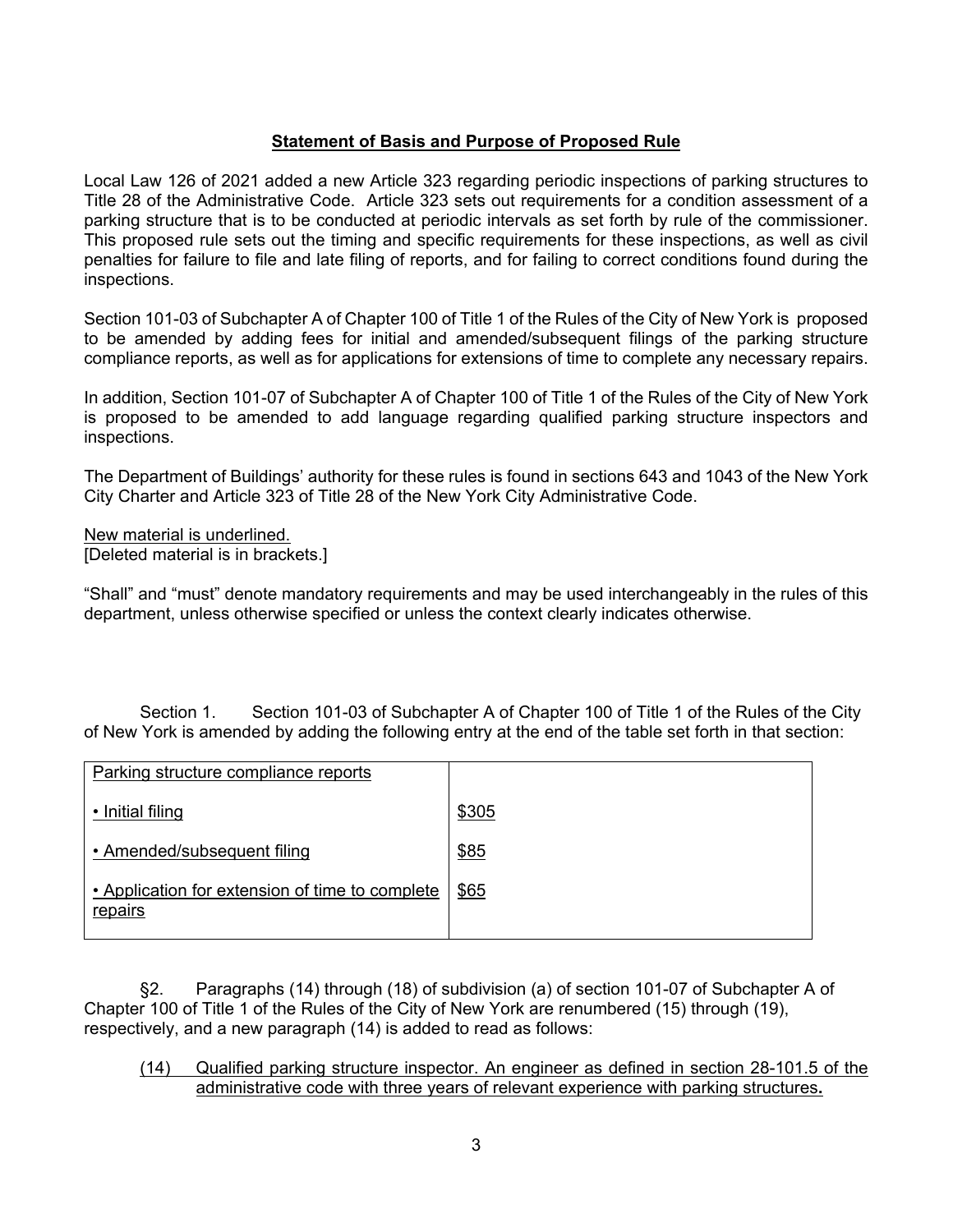### **Statement of Basis and Purpose of Proposed Rule**

Local Law 126 of 2021 added a new Article 323 regarding periodic inspections of parking structures to Title 28 of the Administrative Code. Article 323 sets out requirements for a condition assessment of a parking structure that is to be conducted at periodic intervals as set forth by rule of the commissioner. This proposed rule sets out the timing and specific requirements for these inspections, as well as civil penalties for failure to file and late filing of reports, and for failing to correct conditions found during the inspections.

Section 101-03 of Subchapter A of Chapter 100 of Title 1 of the Rules of the City of New York is proposed to be amended by adding fees for initial and amended/subsequent filings of the parking structure compliance reports, as well as for applications for extensions of time to complete any necessary repairs.

In addition, Section 101-07 of Subchapter A of Chapter 100 of Title 1 of the Rules of the City of New York is proposed to be amended to add language regarding qualified parking structure inspectors and inspections.

The Department of Buildings' authority for these rules is found in sections 643 and 1043 of the New York City Charter and Article 323 of Title 28 of the New York City Administrative Code.

New material is underlined. [Deleted material is in brackets.]

"Shall" and "must" denote mandatory requirements and may be used interchangeably in the rules of this department, unless otherwise specified or unless the context clearly indicates otherwise.

Section 1. Section 101-03 of Subchapter A of Chapter 100 of Title 1 of the Rules of the City of New York is amended by adding the following entry at the end of the table set forth in that section:

| Parking structure compliance reports                       |       |
|------------------------------------------------------------|-------|
| • Initial filing                                           | \$305 |
| • Amended/subsequent filing                                | \$85  |
| • Application for extension of time to complete<br>repairs | \$65  |

§2. Paragraphs (14) through (18) of subdivision (a) of section 101-07 of Subchapter A of Chapter 100 of Title 1 of the Rules of the City of New York are renumbered (15) through (19), respectively, and a new paragraph (14) is added to read as follows:

(14) Qualified parking structure inspector. An engineer as defined in section 28-101.5 of the administrative code with three years of relevant experience with parking structures**.**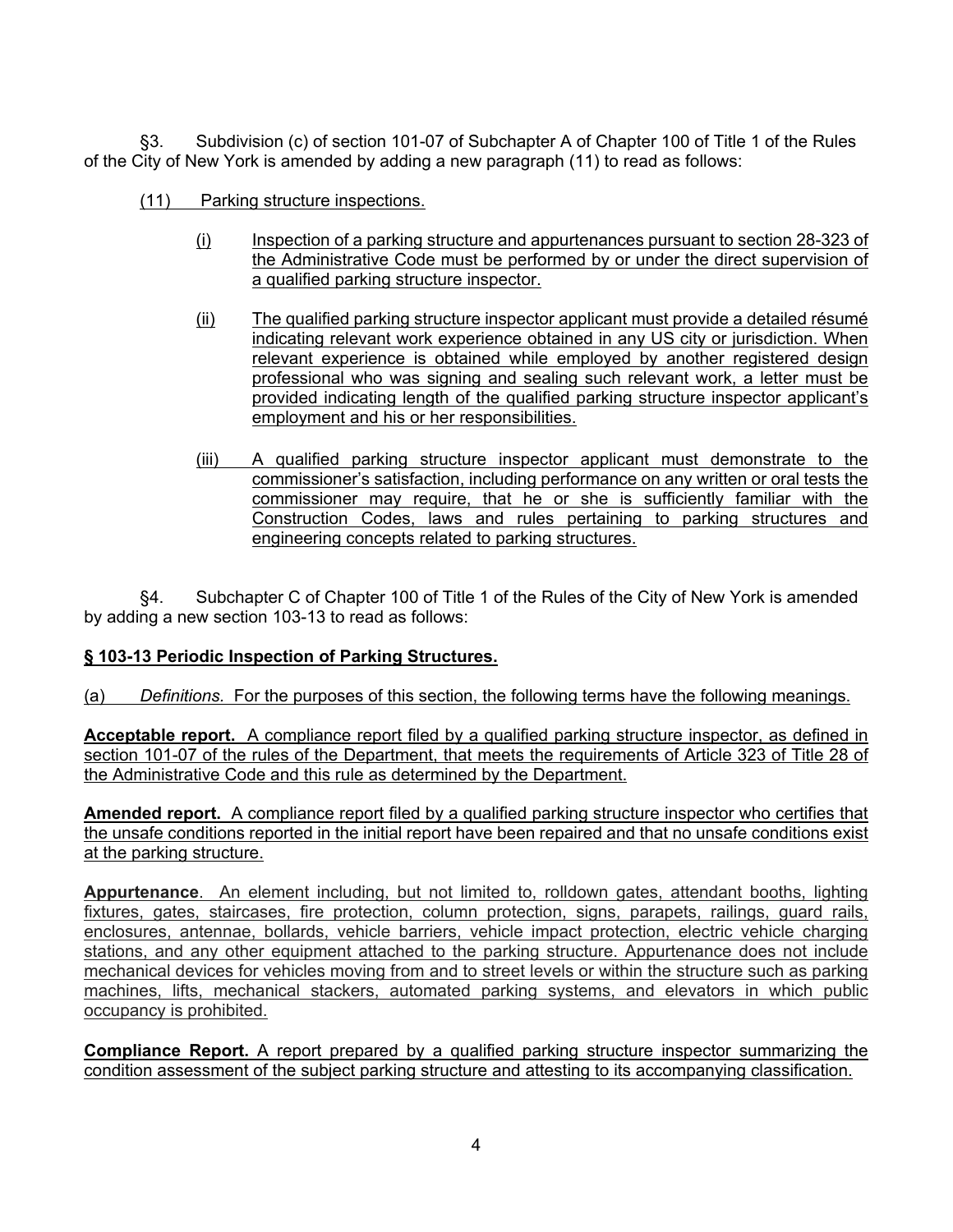§3. Subdivision (c) of section 101-07 of Subchapter A of Chapter 100 of Title 1 of the Rules of the City of New York is amended by adding a new paragraph (11) to read as follows:

- (11) Parking structure inspections.
	- (i) Inspection of a parking structure and appurtenances pursuant to section 28-323 of the Administrative Code must be performed by or under the direct supervision of a qualified parking structure inspector.
	- (ii) The qualified parking structure inspector applicant must provide a detailed résumé indicating relevant work experience obtained in any US city or jurisdiction. When relevant experience is obtained while employed by another registered design professional who was signing and sealing such relevant work, a letter must be provided indicating length of the qualified parking structure inspector applicant's employment and his or her responsibilities.
	- (iii) A qualified parking structure inspector applicant must demonstrate to the commissioner's satisfaction, including performance on any written or oral tests the commissioner may require, that he or she is sufficiently familiar with the Construction Codes, laws and rules pertaining to parking structures and engineering concepts related to parking structures.

§4. Subchapter C of Chapter 100 of Title 1 of the Rules of the City of New York is amended by adding a new section 103-13 to read as follows:

# **§ 103-13 Periodic Inspection of Parking Structures.**

(a) *Definitions.* For the purposes of this section, the following terms have the following meanings.

**Acceptable report.** A compliance report filed by a qualified parking structure inspector, as defined in section 101-07 of the rules of the Department, that meets the requirements of Article 323 of Title 28 of the Administrative Code and this rule as determined by the Department.

**Amended report.** A compliance report filed by a qualified parking structure inspector who certifies that the unsafe conditions reported in the initial report have been repaired and that no unsafe conditions exist at the parking structure.

**Appurtenance**. An element including, but not limited to, rolldown gates, attendant booths, lighting fixtures, gates, staircases, fire protection, column protection, signs, parapets, railings, guard rails, enclosures, antennae, bollards, vehicle barriers, vehicle impact protection, electric vehicle charging stations, and any other equipment attached to the parking structure. Appurtenance does not include mechanical devices for vehicles moving from and to street levels or within the structure such as parking machines, lifts, mechanical stackers, automated parking systems, and elevators in which public occupancy is prohibited.

**Compliance Report.** A report prepared by a qualified parking structure inspector summarizing the condition assessment of the subject parking structure and attesting to its accompanying classification.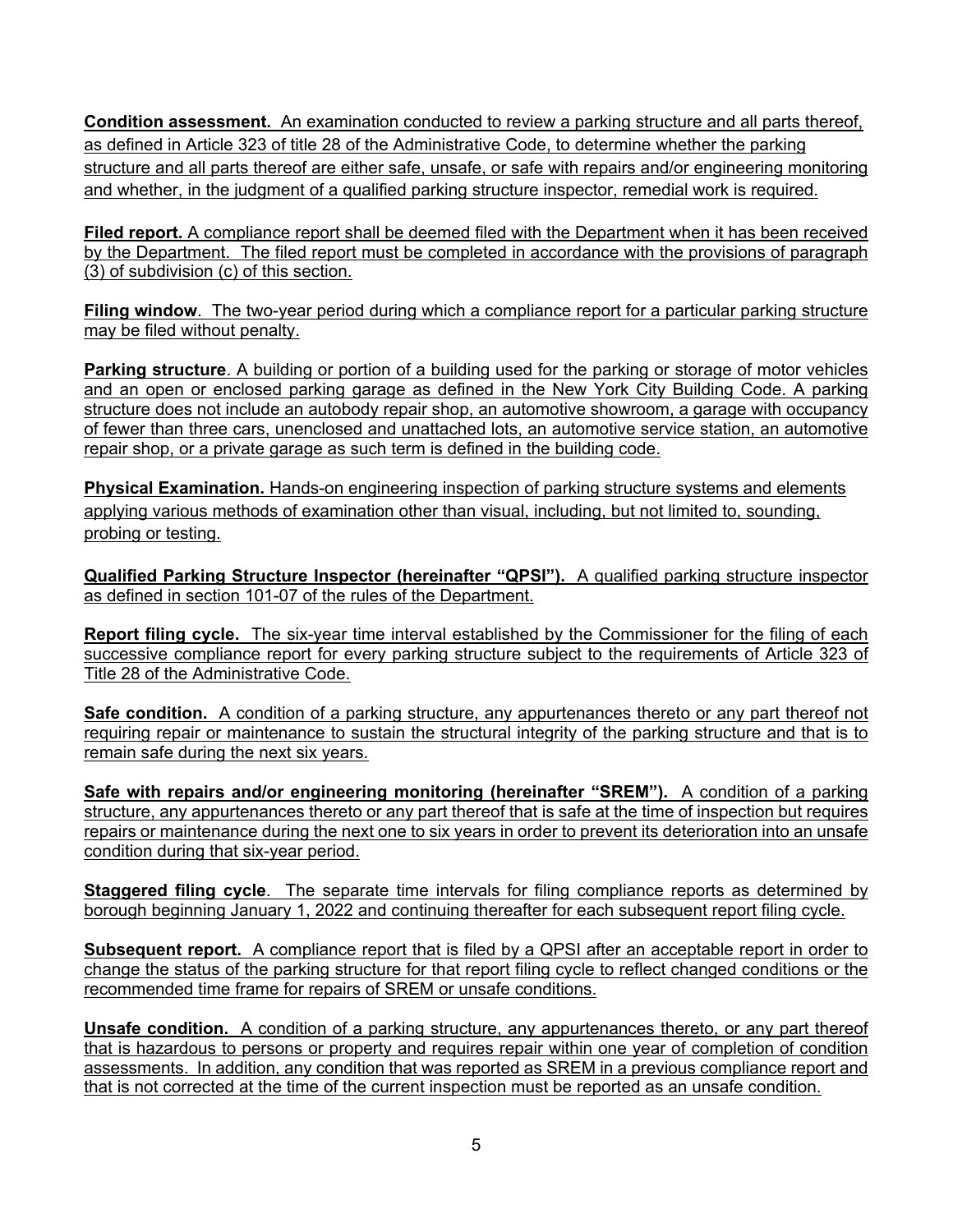**Condition assessment.** An examination conducted to review a parking structure and all parts thereof, as defined in Article 323 of title 28 of the Administrative Code, to determine whether the parking structure and all parts thereof are either safe, unsafe, or safe with repairs and/or engineering monitoring and whether, in the judgment of a qualified parking structure inspector, remedial work is required.

**Filed report.** A compliance report shall be deemed filed with the Department when it has been received by the Department. The filed report must be completed in accordance with the provisions of paragraph (3) of subdivision (c) of this section.

**Filing window**. The two-year period during which a compliance report for a particular parking structure may be filed without penalty.

**Parking structure**. A building or portion of a building used for the parking or storage of motor vehicles and an open or enclosed parking garage as defined in the New York City Building Code. A parking structure does not include an autobody repair shop, an automotive showroom, a garage with occupancy of fewer than three cars, unenclosed and unattached lots, an automotive service station, an automotive repair shop, or a private garage as such term is defined in the building code.

**Physical Examination.** Hands-on engineering inspection of parking structure systems and elements applying various methods of examination other than visual, including, but not limited to, sounding, probing or testing.

**Qualified Parking Structure Inspector (hereinafter "QPSI").** A qualified parking structure inspector as defined in section 101-07 of the rules of the Department.

**Report filing cycle.** The six-year time interval established by the Commissioner for the filing of each successive compliance report for every parking structure subject to the requirements of Article 323 of Title 28 of the Administrative Code.

**Safe condition.** A condition of a parking structure, any appurtenances thereto or any part thereof not requiring repair or maintenance to sustain the structural integrity of the parking structure and that is to remain safe during the next six years.

**Safe with repairs and/or engineering monitoring (hereinafter "SREM").** A condition of a parking structure, any appurtenances thereto or any part thereof that is safe at the time of inspection but requires repairs or maintenance during the next one to six years in order to prevent its deterioration into an unsafe condition during that six-year period.

**Staggered filing cycle**. The separate time intervals for filing compliance reports as determined by borough beginning January 1, 2022 and continuing thereafter for each subsequent report filing cycle.

**Subsequent report.** A compliance report that is filed by a QPSI after an acceptable report in order to change the status of the parking structure for that report filing cycle to reflect changed conditions or the recommended time frame for repairs of SREM or unsafe conditions.

**Unsafe condition.** A condition of a parking structure, any appurtenances thereto, or any part thereof that is hazardous to persons or property and requires repair within one year of completion of condition assessments. In addition, any condition that was reported as SREM in a previous compliance report and that is not corrected at the time of the current inspection must be reported as an unsafe condition.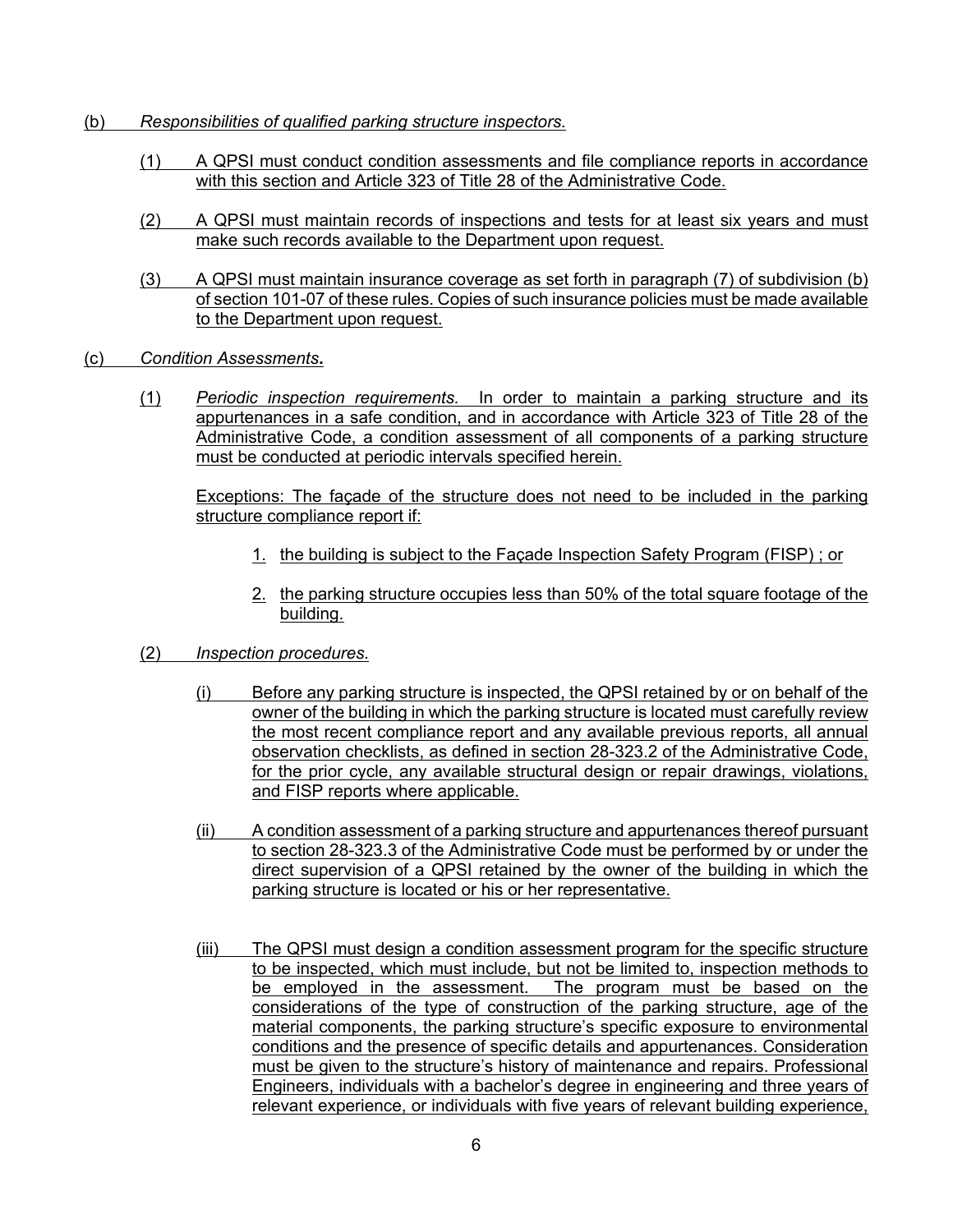- (b) *Responsibilities of qualified parking structure inspectors.*
	- (1) A QPSI must conduct condition assessments and file compliance reports in accordance with this section and Article 323 of Title 28 of the Administrative Code.
	- (2) A QPSI must maintain records of inspections and tests for at least six years and must make such records available to the Department upon request.
	- (3) A QPSI must maintain insurance coverage as set forth in paragraph (7) of subdivision (b) of section 101-07 of these rules. Copies of such insurance policies must be made available to the Department upon request.
- (c) *Condition Assessments***.**
	- (1) *Periodic inspection requirements.* In order to maintain a parking structure and its appurtenances in a safe condition, and in accordance with Article 323 of Title 28 of the Administrative Code, a condition assessment of all components of a parking structure must be conducted at periodic intervals specified herein.

Exceptions: The façade of the structure does not need to be included in the parking structure compliance report if:

- 1. the building is subject to the Façade Inspection Safety Program (FISP) ; or
- 2. the parking structure occupies less than 50% of the total square footage of the building.
- (2) *Inspection procedures.*
	- (i) Before any parking structure is inspected, the QPSI retained by or on behalf of the owner of the building in which the parking structure is located must carefully review the most recent compliance report and any available previous reports, all annual observation checklists, as defined in section 28-323.2 of the Administrative Code, for the prior cycle, any available structural design or repair drawings, violations, and FISP reports where applicable.
	- (ii) A condition assessment of a parking structure and appurtenances thereof pursuant to section 28-323.3 of the Administrative Code must be performed by or under the direct supervision of a QPSI retained by the owner of the building in which the parking structure is located or his or her representative.
	- (iii) The QPSI must design a condition assessment program for the specific structure to be inspected, which must include, but not be limited to, inspection methods to be employed in the assessment. The program must be based on the considerations of the type of construction of the parking structure, age of the material components, the parking structure's specific exposure to environmental conditions and the presence of specific details and appurtenances. Consideration must be given to the structure's history of maintenance and repairs. Professional Engineers, individuals with a bachelor's degree in engineering and three years of relevant experience, or individuals with five years of relevant building experience,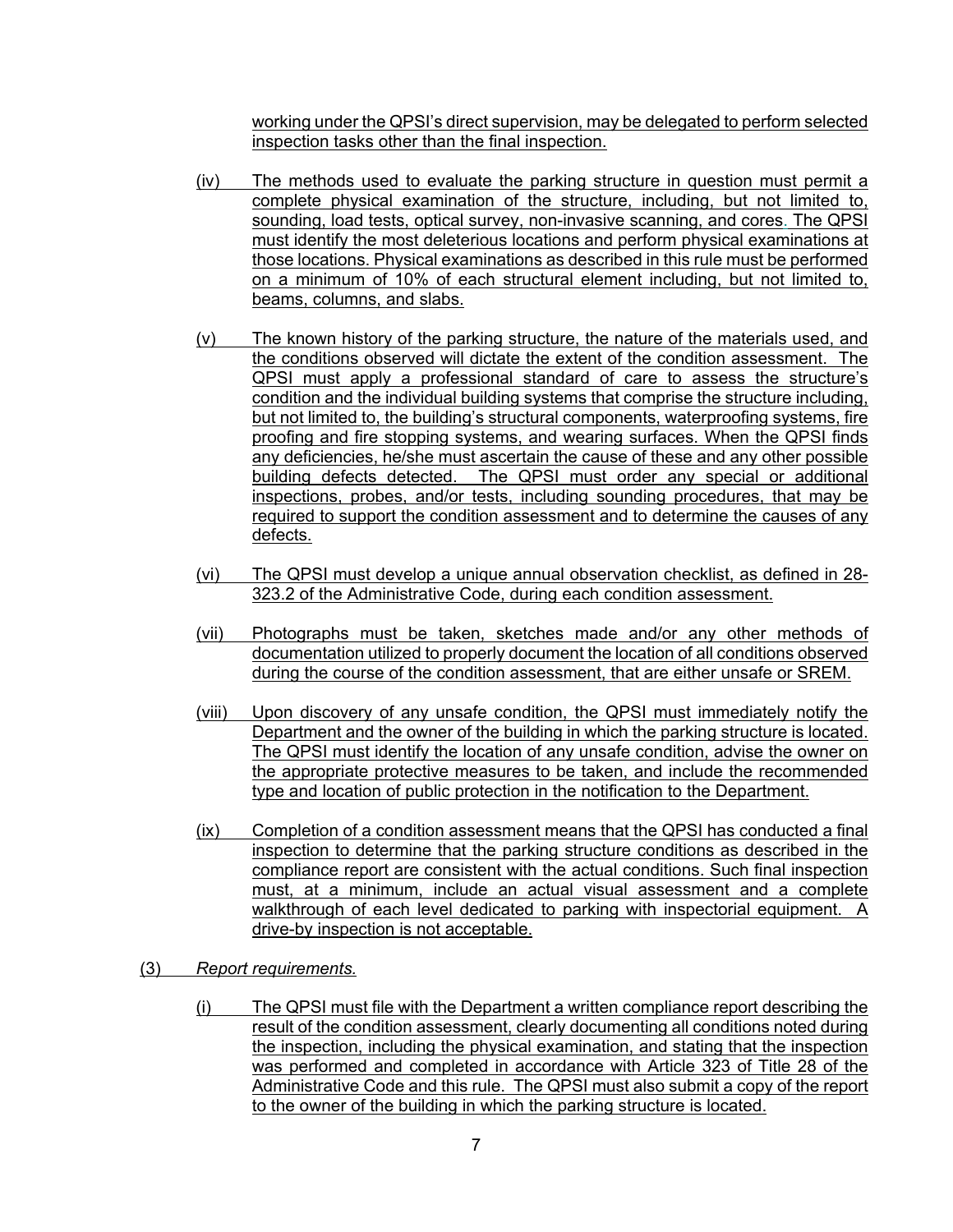working under the QPSI's direct supervision, may be delegated to perform selected inspection tasks other than the final inspection.

- (iv) The methods used to evaluate the parking structure in question must permit a complete physical examination of the structure, including, but not limited to, sounding, load tests, optical survey, non-invasive scanning, and cores. The QPSI must identify the most deleterious locations and perform physical examinations at those locations. Physical examinations as described in this rule must be performed on a minimum of 10% of each structural element including, but not limited to, beams, columns, and slabs.
- (v) The known history of the parking structure, the nature of the materials used, and the conditions observed will dictate the extent of the condition assessment. The QPSI must apply a professional standard of care to assess the structure's condition and the individual building systems that comprise the structure including, but not limited to, the building's structural components, waterproofing systems, fire proofing and fire stopping systems, and wearing surfaces. When the QPSI finds any deficiencies, he/she must ascertain the cause of these and any other possible building defects detected. The QPSI must order any special or additional inspections, probes, and/or tests, including sounding procedures, that may be required to support the condition assessment and to determine the causes of any defects.
- (vi) The QPSI must develop a unique annual observation checklist, as defined in 28- 323.2 of the Administrative Code, during each condition assessment.
- (vii) Photographs must be taken, sketches made and/or any other methods of documentation utilized to properly document the location of all conditions observed during the course of the condition assessment, that are either unsafe or SREM.
- (viii) Upon discovery of any unsafe condition, the QPSI must immediately notify the Department and the owner of the building in which the parking structure is located. The QPSI must identify the location of any unsafe condition, advise the owner on the appropriate protective measures to be taken, and include the recommended type and location of public protection in the notification to the Department.
- (ix) Completion of a condition assessment means that the QPSI has conducted a final inspection to determine that the parking structure conditions as described in the compliance report are consistent with the actual conditions. Such final inspection must, at a minimum, include an actual visual assessment and a complete walkthrough of each level dedicated to parking with inspectorial equipment. A drive-by inspection is not acceptable.
- (3) *Report requirements.*
	- (i) The QPSI must file with the Department a written compliance report describing the result of the condition assessment, clearly documenting all conditions noted during the inspection, including the physical examination, and stating that the inspection was performed and completed in accordance with Article 323 of Title 28 of the Administrative Code and this rule. The QPSI must also submit a copy of the report to the owner of the building in which the parking structure is located.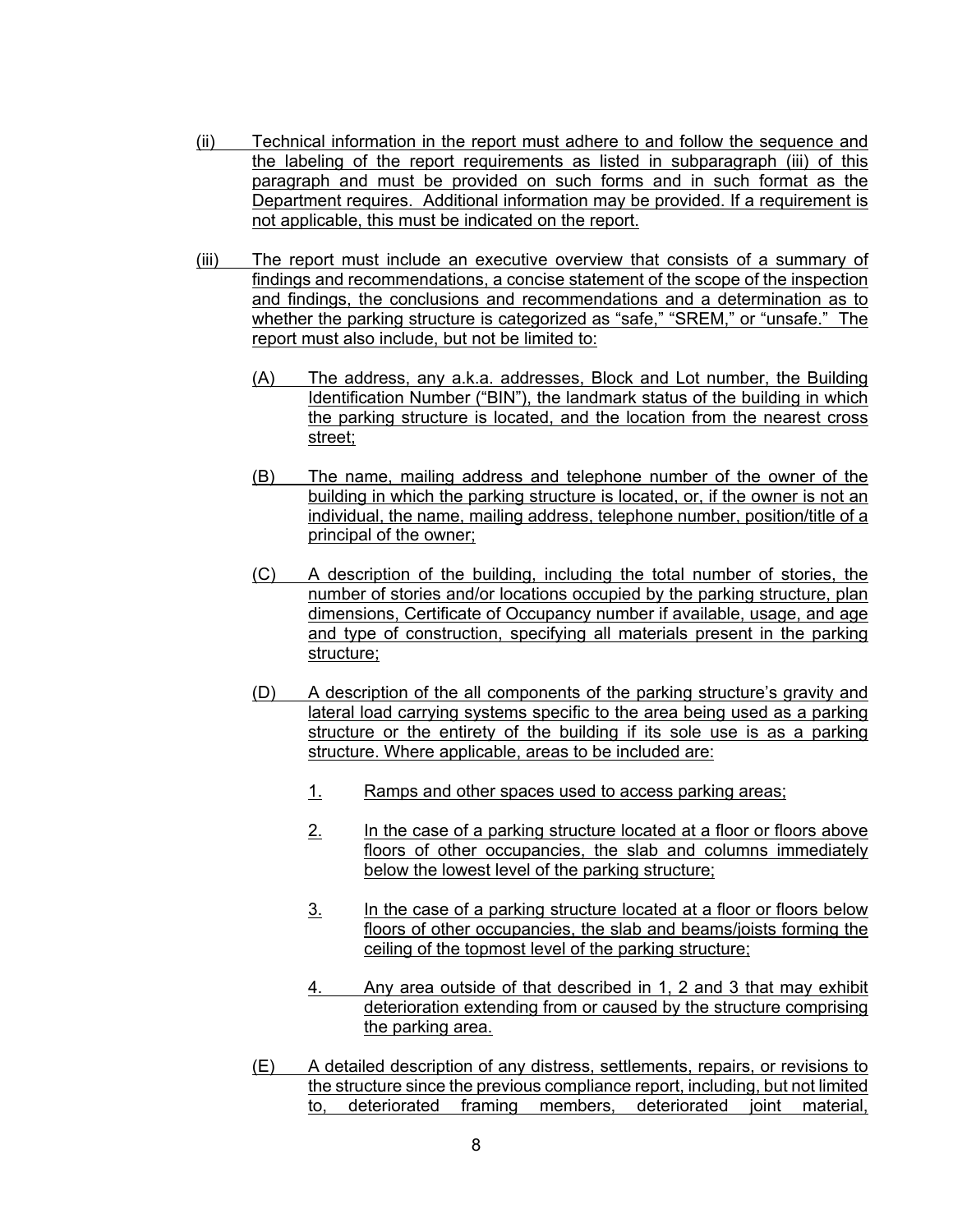- (ii) Technical information in the report must adhere to and follow the sequence and the labeling of the report requirements as listed in subparagraph (iii) of this paragraph and must be provided on such forms and in such format as the Department requires. Additional information may be provided. If a requirement is not applicable, this must be indicated on the report.
- (iii) The report must include an executive overview that consists of a summary of findings and recommendations, a concise statement of the scope of the inspection and findings, the conclusions and recommendations and a determination as to whether the parking structure is categorized as "safe," "SREM," or "unsafe." The report must also include, but not be limited to:
	- (A) The address, any a.k.a. addresses, Block and Lot number, the Building Identification Number ("BIN"), the landmark status of the building in which the parking structure is located, and the location from the nearest cross street;
	- (B) The name, mailing address and telephone number of the owner of the building in which the parking structure is located, or, if the owner is not an individual, the name, mailing address, telephone number, position/title of a principal of the owner;
	- (C) A description of the building, including the total number of stories, the number of stories and/or locations occupied by the parking structure, plan dimensions, Certificate of Occupancy number if available, usage, and age and type of construction, specifying all materials present in the parking structure;
	- (D) A description of the all components of the parking structure's gravity and lateral load carrying systems specific to the area being used as a parking structure or the entirety of the building if its sole use is as a parking structure. Where applicable, areas to be included are:
		- 1. Ramps and other spaces used to access parking areas;
		- 2. In the case of a parking structure located at a floor or floors above floors of other occupancies, the slab and columns immediately below the lowest level of the parking structure;
		- 3. In the case of a parking structure located at a floor or floors below floors of other occupancies, the slab and beams/joists forming the ceiling of the topmost level of the parking structure;
		- 4. Any area outside of that described in 1, 2 and 3 that may exhibit deterioration extending from or caused by the structure comprising the parking area.
	- (E) A detailed description of any distress, settlements, repairs, or revisions to the structure since the previous compliance report, including, but not limited to, deteriorated framing members, deteriorated joint material,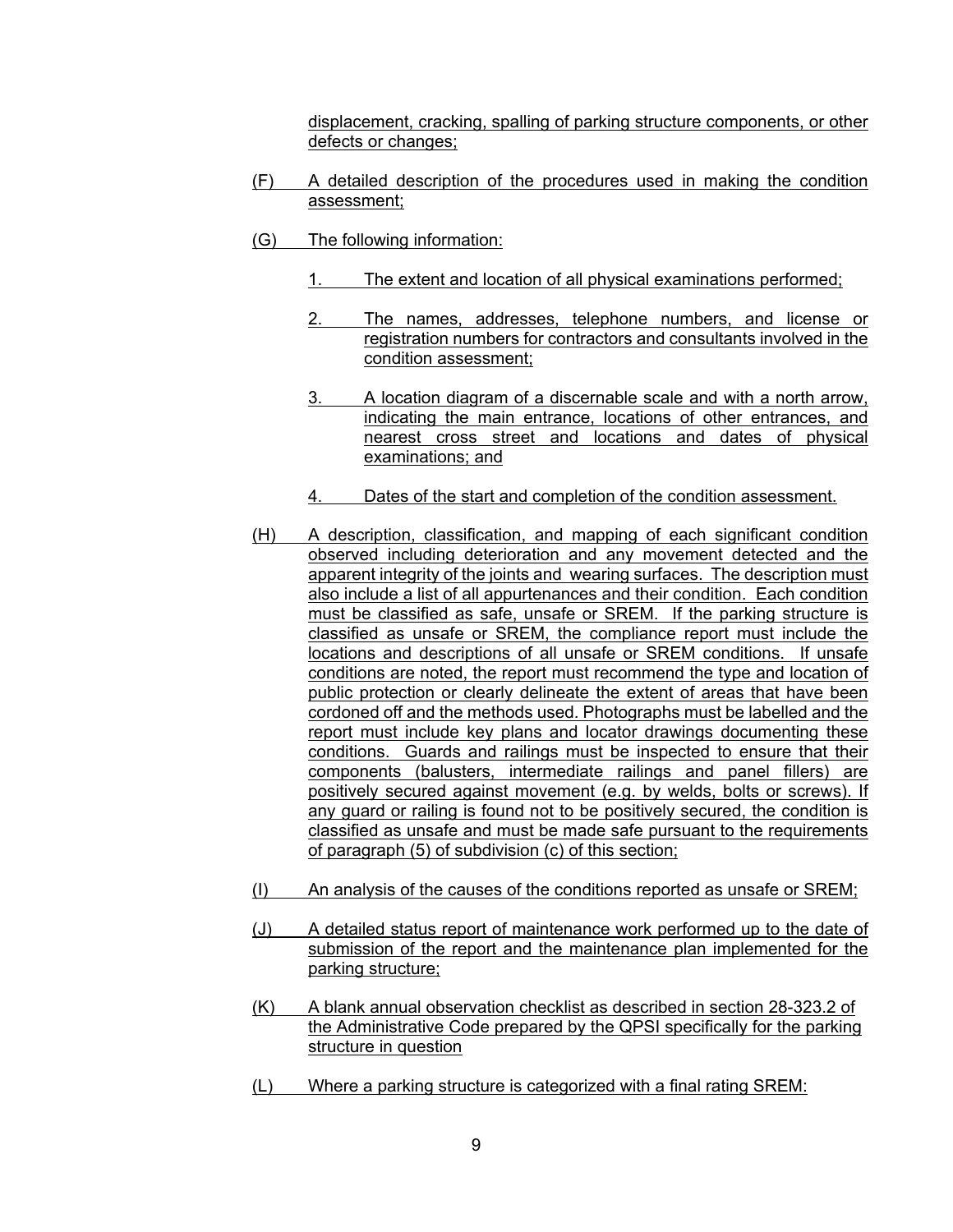displacement, cracking, spalling of parking structure components, or other defects or changes;

- (F) A detailed description of the procedures used in making the condition assessment;
- (G) The following information:
	- 1. The extent and location of all physical examinations performed;
	- 2. The names, addresses, telephone numbers, and license or registration numbers for contractors and consultants involved in the condition assessment;
	- 3. A location diagram of a discernable scale and with a north arrow, indicating the main entrance, locations of other entrances, and nearest cross street and locations and dates of physical examinations; and
	- 4. Dates of the start and completion of the condition assessment.
- (H) A description, classification, and mapping of each significant condition observed including deterioration and any movement detected and the apparent integrity of the joints and wearing surfaces. The description must also include a list of all appurtenances and their condition. Each condition must be classified as safe, unsafe or SREM. If the parking structure is classified as unsafe or SREM, the compliance report must include the locations and descriptions of all unsafe or SREM conditions. If unsafe conditions are noted, the report must recommend the type and location of public protection or clearly delineate the extent of areas that have been cordoned off and the methods used. Photographs must be labelled and the report must include key plans and locator drawings documenting these conditions. Guards and railings must be inspected to ensure that their components (balusters, intermediate railings and panel fillers) are positively secured against movement (e.g. by welds, bolts or screws). If any guard or railing is found not to be positively secured, the condition is classified as unsafe and must be made safe pursuant to the requirements of paragraph (5) of subdivision (c) of this section;
- (I) An analysis of the causes of the conditions reported as unsafe or SREM;
- (J) A detailed status report of maintenance work performed up to the date of submission of the report and the maintenance plan implemented for the parking structure;
- (K) A blank annual observation checklist as described in section 28-323.2 of the Administrative Code prepared by the QPSI specifically for the parking structure in question
- (L) Where a parking structure is categorized with a final rating SREM: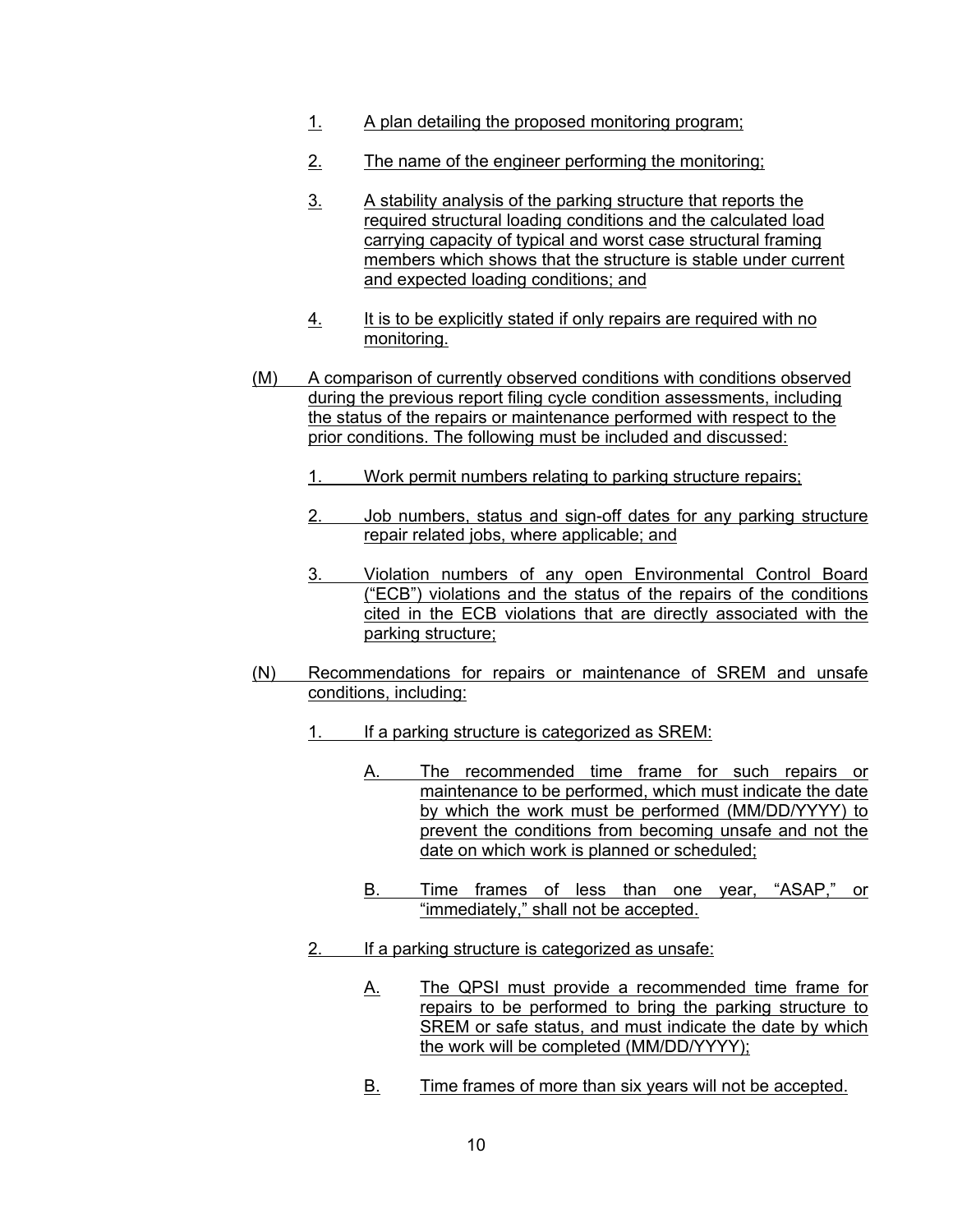- 1. A plan detailing the proposed monitoring program;
- 2. The name of the engineer performing the monitoring;
- 3. A stability analysis of the parking structure that reports the required structural loading conditions and the calculated load carrying capacity of typical and worst case structural framing members which shows that the structure is stable under current and expected loading conditions; and
- 4. It is to be explicitly stated if only repairs are required with no monitoring.
- (M) A comparison of currently observed conditions with conditions observed during the previous report filing cycle condition assessments, including the status of the repairs or maintenance performed with respect to the prior conditions. The following must be included and discussed:
	- 1. Work permit numbers relating to parking structure repairs;
	- 2. Job numbers, status and sign-off dates for any parking structure repair related jobs, where applicable; and
	- 3. Violation numbers of any open Environmental Control Board ("ECB") violations and the status of the repairs of the conditions cited in the ECB violations that are directly associated with the parking structure;
- (N) Recommendations for repairs or maintenance of SREM and unsafe conditions, including:
	- 1. If a parking structure is categorized as SREM:
		- A. The recommended time frame for such repairs or maintenance to be performed, which must indicate the date by which the work must be performed (MM/DD/YYYY) to prevent the conditions from becoming unsafe and not the date on which work is planned or scheduled;
		- B. Time frames of less than one year, "ASAP," or "immediately," shall not be accepted.
	- 2. If a parking structure is categorized as unsafe:
		- A. The QPSI must provide a recommended time frame for repairs to be performed to bring the parking structure to SREM or safe status, and must indicate the date by which the work will be completed (MM/DD/YYYY);
		- B. Time frames of more than six years will not be accepted.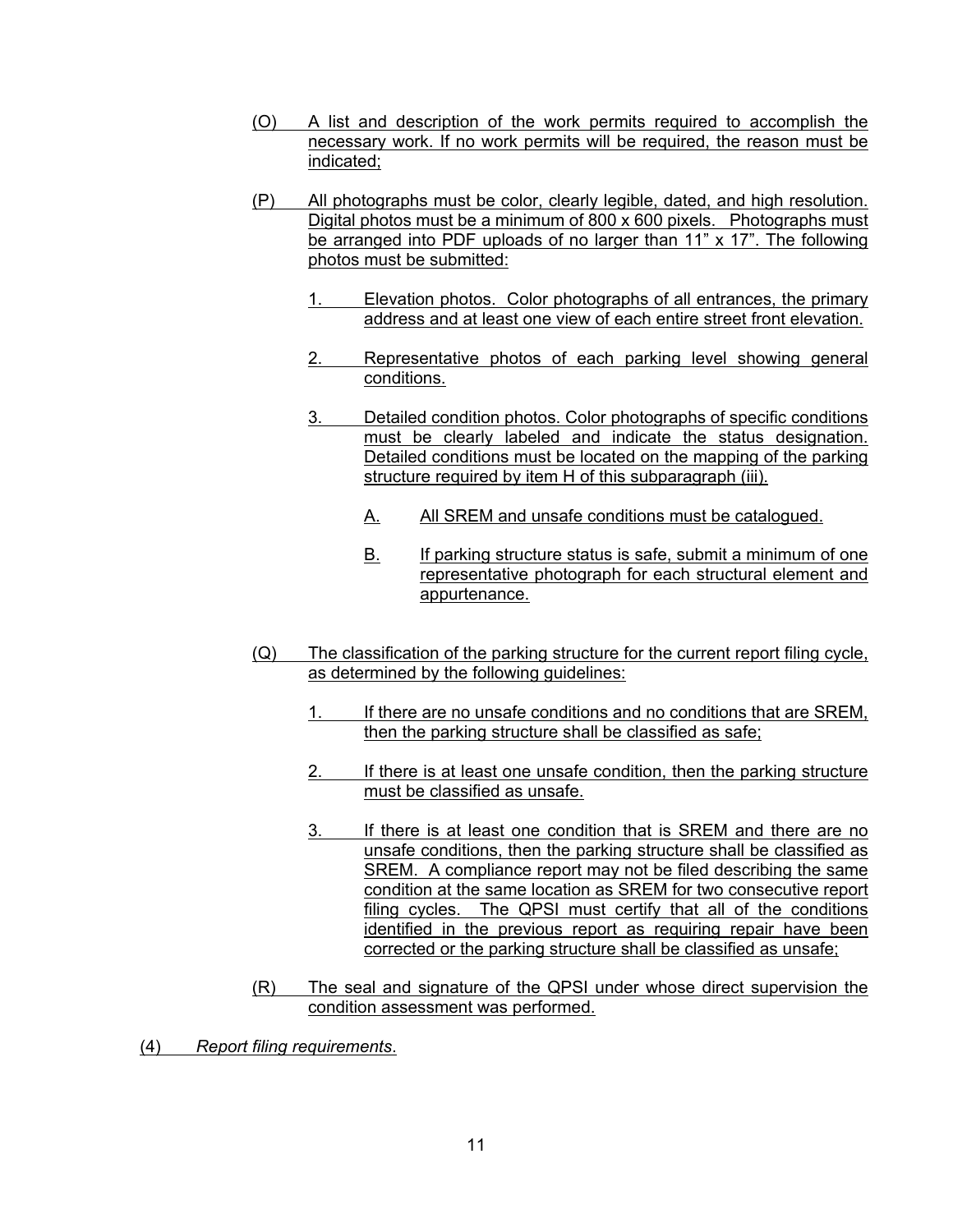- (O) A list and description of the work permits required to accomplish the necessary work. If no work permits will be required, the reason must be indicated;
- (P) All photographs must be color, clearly legible, dated, and high resolution. Digital photos must be a minimum of 800 x 600 pixels. Photographs must be arranged into PDF uploads of no larger than 11" x 17". The following photos must be submitted:
	- 1. Elevation photos. Color photographs of all entrances, the primary address and at least one view of each entire street front elevation.
	- 2. Representative photos of each parking level showing general conditions.
	- 3. Detailed condition photos. Color photographs of specific conditions must be clearly labeled and indicate the status designation. Detailed conditions must be located on the mapping of the parking structure required by item H of this subparagraph (iii).
		- A. All SREM and unsafe conditions must be catalogued.
		- B. If parking structure status is safe, submit a minimum of one representative photograph for each structural element and appurtenance.
- (Q) The classification of the parking structure for the current report filing cycle, as determined by the following guidelines:
	- 1. If there are no unsafe conditions and no conditions that are SREM, then the parking structure shall be classified as safe;
	- 2. If there is at least one unsafe condition, then the parking structure must be classified as unsafe.
	- 3. If there is at least one condition that is SREM and there are no unsafe conditions, then the parking structure shall be classified as SREM. A compliance report may not be filed describing the same condition at the same location as SREM for two consecutive report filing cycles. The QPSI must certify that all of the conditions identified in the previous report as requiring repair have been corrected or the parking structure shall be classified as unsafe;
- (R) The seal and signature of the QPSI under whose direct supervision the condition assessment was performed.
- (4) *Report filing requirements*.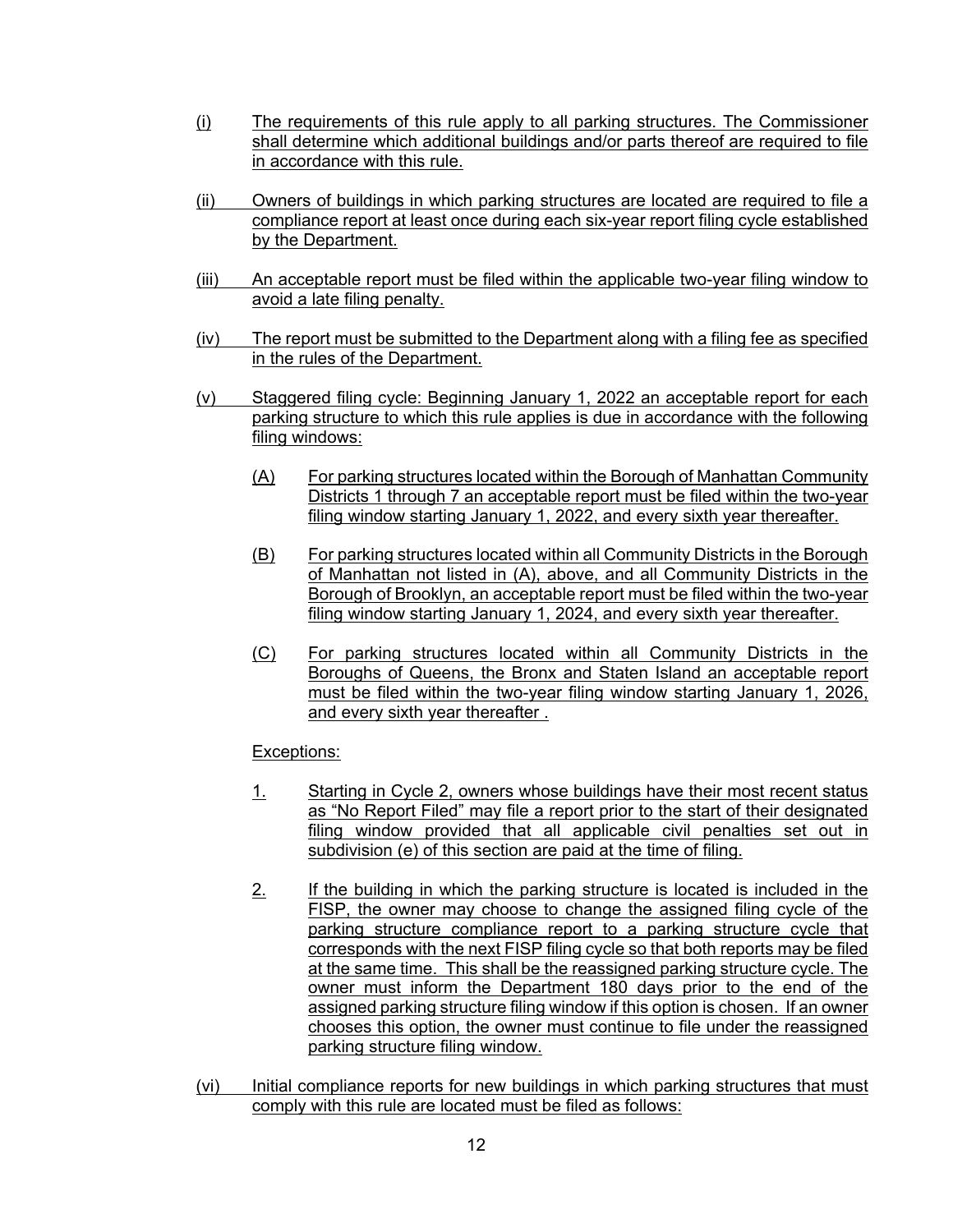- (i) The requirements of this rule apply to all parking structures. The Commissioner shall determine which additional buildings and/or parts thereof are required to file in accordance with this rule.
- (ii) Owners of buildings in which parking structures are located are required to file a compliance report at least once during each six-year report filing cycle established by the Department.
- (iii) An acceptable report must be filed within the applicable two-year filing window to avoid a late filing penalty.
- (iv) The report must be submitted to the Department along with a filing fee as specified in the rules of the Department.
- (v) Staggered filing cycle: Beginning January 1, 2022 an acceptable report for each parking structure to which this rule applies is due in accordance with the following filing windows:
	- (A) For parking structures located within the Borough of Manhattan Community Districts 1 through 7 an acceptable report must be filed within the two-year filing window starting January 1, 2022, and every sixth year thereafter.
	- (B) For parking structures located within all Community Districts in the Borough of Manhattan not listed in (A), above, and all Community Districts in the Borough of Brooklyn, an acceptable report must be filed within the two-year filing window starting January 1, 2024, and every sixth year thereafter.
	- (C) For parking structures located within all Community Districts in the Boroughs of Queens, the Bronx and Staten Island an acceptable report must be filed within the two-year filing window starting January 1, 2026, and every sixth year thereafter .

# Exceptions:

- 1. Starting in Cycle 2, owners whose buildings have their most recent status as "No Report Filed" may file a report prior to the start of their designated filing window provided that all applicable civil penalties set out in subdivision (e) of this section are paid at the time of filing.
- 2. If the building in which the parking structure is located is included in the FISP, the owner may choose to change the assigned filing cycle of the parking structure compliance report to a parking structure cycle that corresponds with the next FISP filing cycle so that both reports may be filed at the same time. This shall be the reassigned parking structure cycle. The owner must inform the Department 180 days prior to the end of the assigned parking structure filing window if this option is chosen. If an owner chooses this option, the owner must continue to file under the reassigned parking structure filing window.
- (vi) Initial compliance reports for new buildings in which parking structures that must comply with this rule are located must be filed as follows: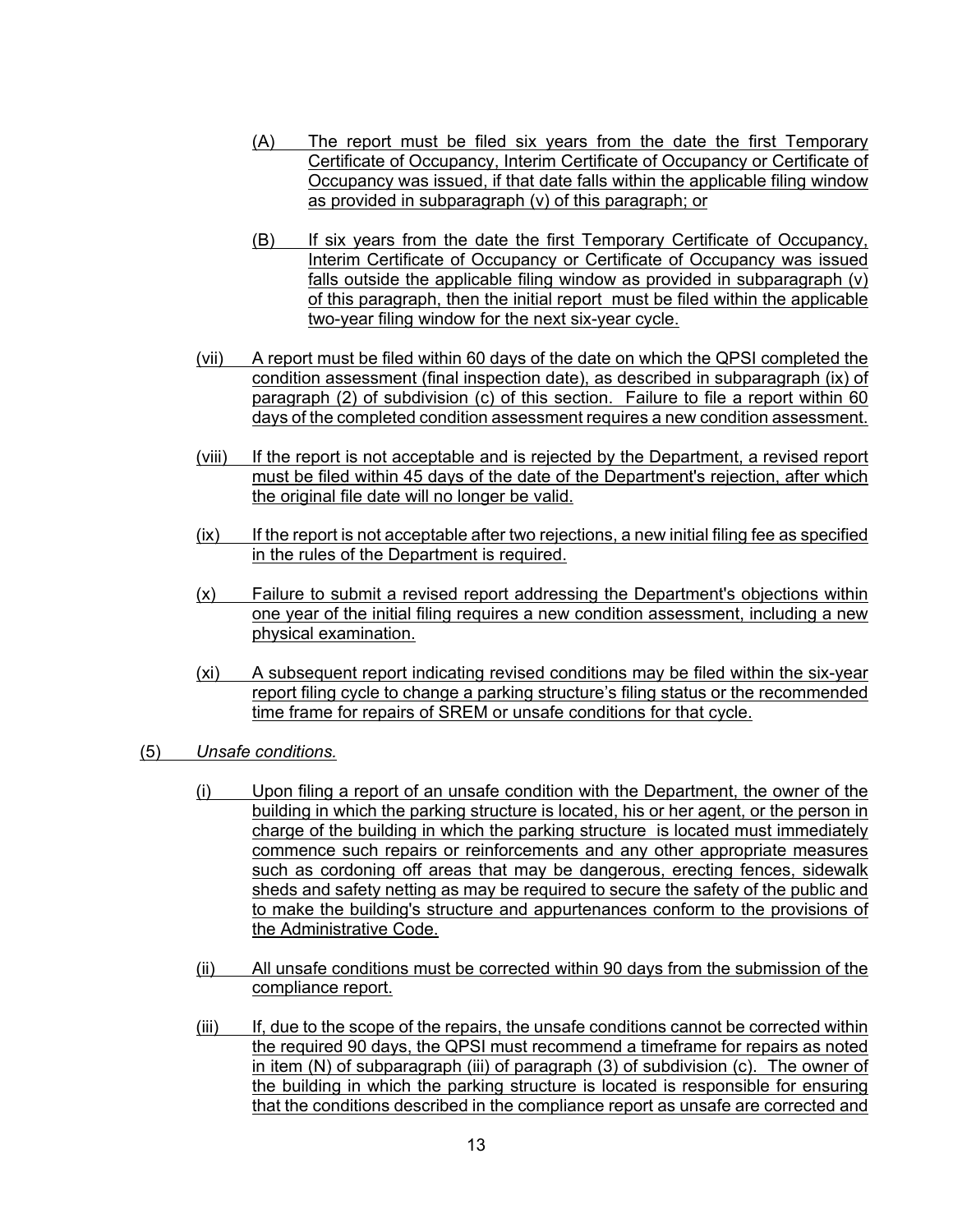- (A) The report must be filed six years from the date the first Temporary Certificate of Occupancy, Interim Certificate of Occupancy or Certificate of Occupancy was issued, if that date falls within the applicable filing window as provided in subparagraph (v) of this paragraph; or
- (B) If six years from the date the first Temporary Certificate of Occupancy, Interim Certificate of Occupancy or Certificate of Occupancy was issued falls outside the applicable filing window as provided in subparagraph (v) of this paragraph, then the initial report must be filed within the applicable two-year filing window for the next six-year cycle.
- (vii) A report must be filed within 60 days of the date on which the QPSI completed the condition assessment (final inspection date), as described in subparagraph (ix) of paragraph (2) of subdivision (c) of this section. Failure to file a report within 60 days of the completed condition assessment requires a new condition assessment.
- (viii) If the report is not acceptable and is rejected by the Department, a revised report must be filed within 45 days of the date of the Department's rejection, after which the original file date will no longer be valid.
- $(ix)$  If the report is not acceptable after two rejections, a new initial filing fee as specified in the rules of the Department is required.
- (x) Failure to submit a revised report addressing the Department's objections within one year of the initial filing requires a new condition assessment, including a new physical examination.
- (xi) A subsequent report indicating revised conditions may be filed within the six-year report filing cycle to change a parking structure's filing status or the recommended time frame for repairs of SREM or unsafe conditions for that cycle.
- (5) *Unsafe conditions.*
	- (i) Upon filing a report of an unsafe condition with the Department, the owner of the building in which the parking structure is located, his or her agent, or the person in charge of the building in which the parking structure is located must immediately commence such repairs or reinforcements and any other appropriate measures such as cordoning off areas that may be dangerous, erecting fences, sidewalk sheds and safety netting as may be required to secure the safety of the public and to make the building's structure and appurtenances conform to the provisions of the Administrative Code.
	- (ii) All unsafe conditions must be corrected within 90 days from the submission of the compliance report.
	- (iii) If, due to the scope of the repairs, the unsafe conditions cannot be corrected within the required 90 days, the QPSI must recommend a timeframe for repairs as noted in item (N) of subparagraph (iii) of paragraph (3) of subdivision (c). The owner of the building in which the parking structure is located is responsible for ensuring that the conditions described in the compliance report as unsafe are corrected and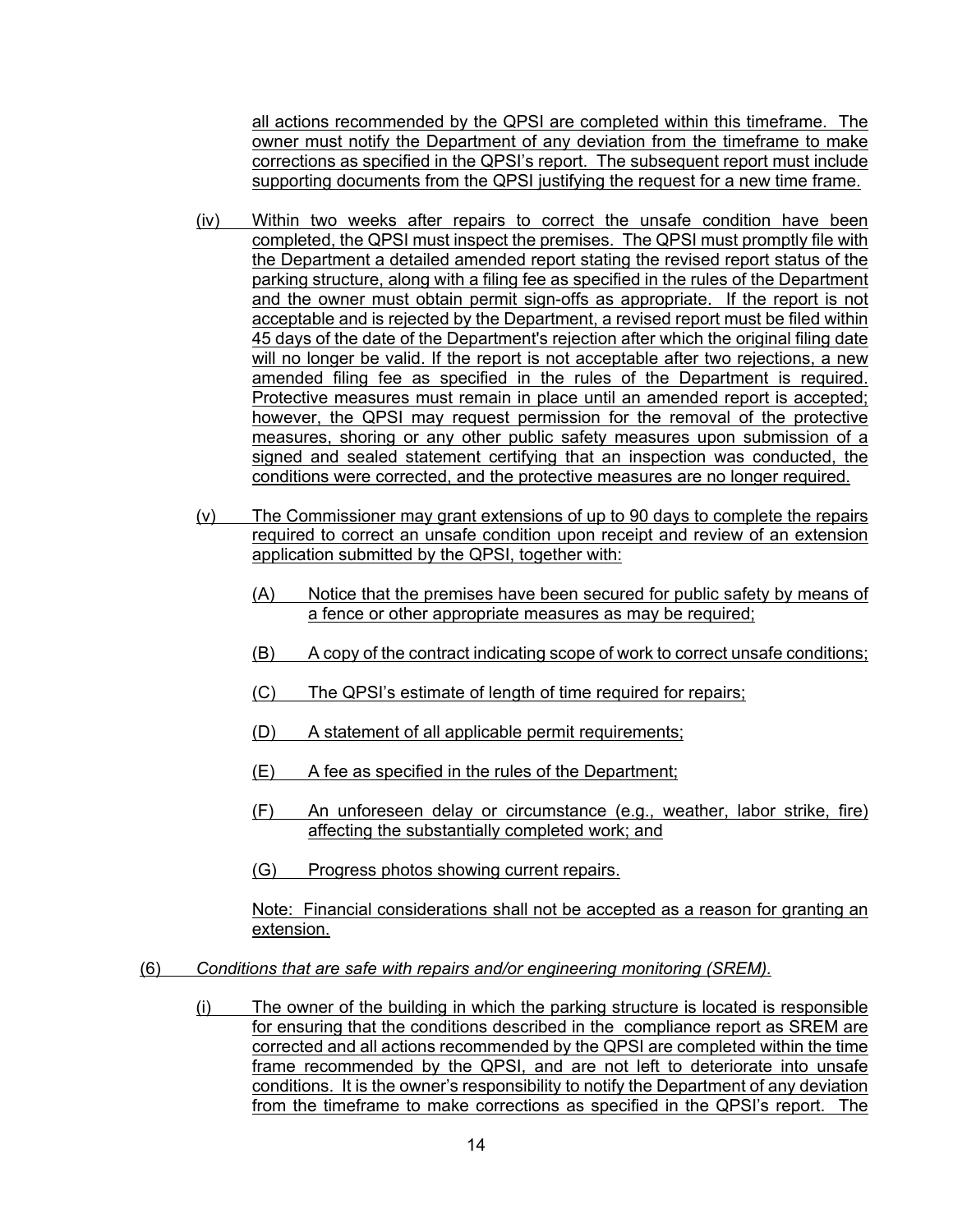all actions recommended by the QPSI are completed within this timeframe. The owner must notify the Department of any deviation from the timeframe to make corrections as specified in the QPSI's report. The subsequent report must include supporting documents from the QPSI justifying the request for a new time frame.

- (iv) Within two weeks after repairs to correct the unsafe condition have been completed, the QPSI must inspect the premises. The QPSI must promptly file with the Department a detailed amended report stating the revised report status of the parking structure, along with a filing fee as specified in the rules of the Department and the owner must obtain permit sign-offs as appropriate. If the report is not acceptable and is rejected by the Department, a revised report must be filed within 45 days of the date of the Department's rejection after which the original filing date will no longer be valid. If the report is not acceptable after two rejections, a new amended filing fee as specified in the rules of the Department is required. Protective measures must remain in place until an amended report is accepted; however, the QPSI may request permission for the removal of the protective measures, shoring or any other public safety measures upon submission of a signed and sealed statement certifying that an inspection was conducted, the conditions were corrected, and the protective measures are no longer required.
- (v) The Commissioner may grant extensions of up to 90 days to complete the repairs required to correct an unsafe condition upon receipt and review of an extension application submitted by the QPSI, together with:
	- (A) Notice that the premises have been secured for public safety by means of a fence or other appropriate measures as may be required;
	- (B) A copy of the contract indicating scope of work to correct unsafe conditions;
	- (C) The QPSI's estimate of length of time required for repairs;
	- (D) A statement of all applicable permit requirements;
	- (E) A fee as specified in the rules of the Department;
	- (F) An unforeseen delay or circumstance (e.g., weather, labor strike, fire) affecting the substantially completed work; and
	- (G) Progress photos showing current repairs.

Note: Financial considerations shall not be accepted as a reason for granting an extension.

- (6) *Conditions that are safe with repairs and/or engineering monitoring (SREM).*
	- (i) The owner of the building in which the parking structure is located is responsible for ensuring that the conditions described in the compliance report as SREM are corrected and all actions recommended by the QPSI are completed within the time frame recommended by the QPSI, and are not left to deteriorate into unsafe conditions. It is the owner's responsibility to notify the Department of any deviation from the timeframe to make corrections as specified in the QPSI's report. The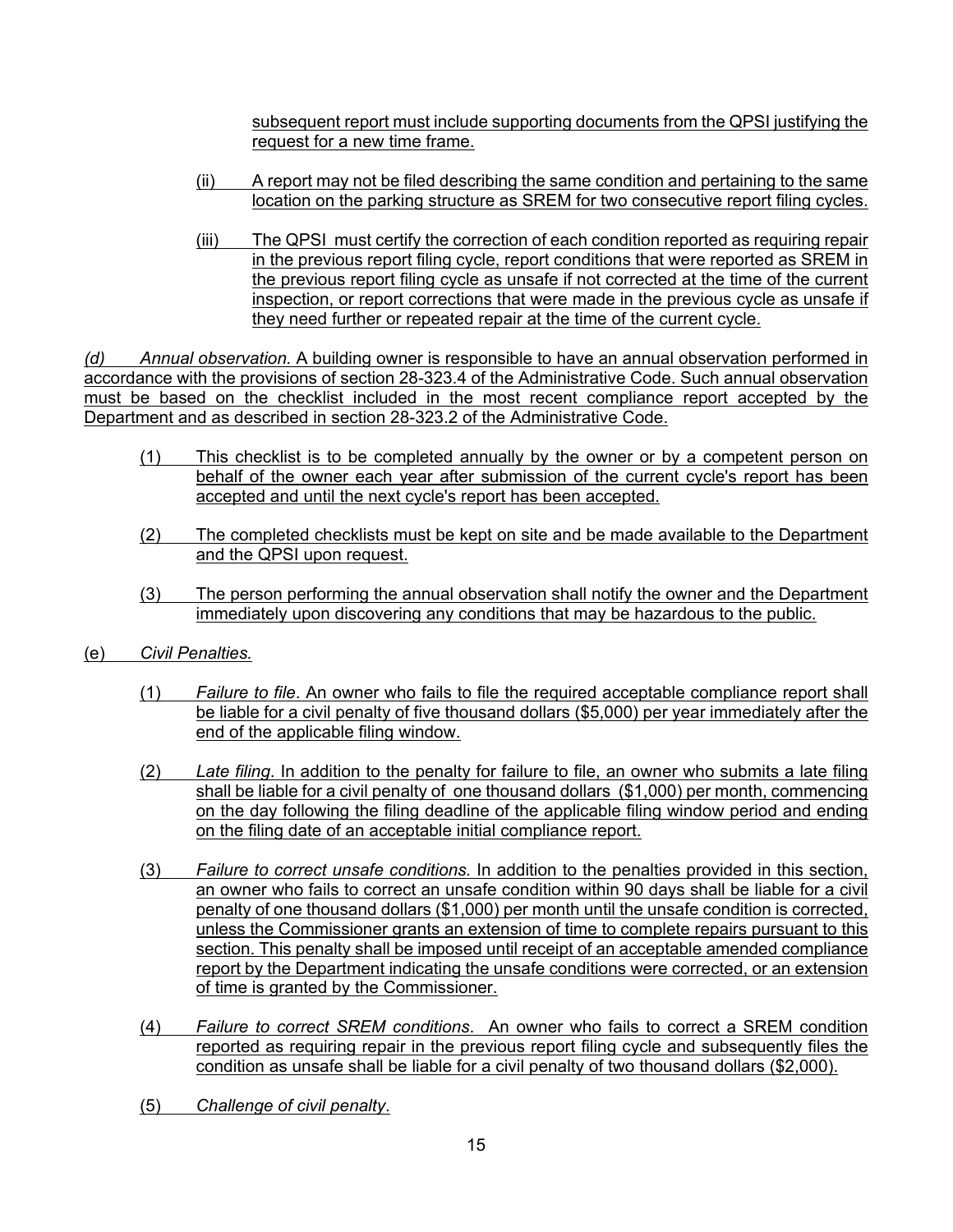subsequent report must include supporting documents from the QPSI justifying the request for a new time frame.

- (ii) A report may not be filed describing the same condition and pertaining to the same location on the parking structure as SREM for two consecutive report filing cycles.
- (iii) The QPSI must certify the correction of each condition reported as requiring repair in the previous report filing cycle, report conditions that were reported as SREM in the previous report filing cycle as unsafe if not corrected at the time of the current inspection, or report corrections that were made in the previous cycle as unsafe if they need further or repeated repair at the time of the current cycle.

*(d) Annual observation.* A building owner is responsible to have an annual observation performed in accordance with the provisions of section 28-323.4 of the Administrative Code. Such annual observation must be based on the checklist included in the most recent compliance report accepted by the Department and as described in section 28-323.2 of the Administrative Code.

- (1) This checklist is to be completed annually by the owner or by a competent person on behalf of the owner each year after submission of the current cycle's report has been accepted and until the next cycle's report has been accepted.
- (2) The completed checklists must be kept on site and be made available to the Department and the QPSI upon request.
- (3) The person performing the annual observation shall notify the owner and the Department immediately upon discovering any conditions that may be hazardous to the public.
- (e) *Civil Penalties.*
	- (1) *Failure to file*. An owner who fails to file the required acceptable compliance report shall be liable for a civil penalty of five thousand dollars (\$5,000) per year immediately after the end of the applicable filing window.
	- (2) *Late filing*. In addition to the penalty for failure to file, an owner who submits a late filing shall be liable for a civil penalty of one thousand dollars (\$1,000) per month, commencing on the day following the filing deadline of the applicable filing window period and ending on the filing date of an acceptable initial compliance report.
	- (3) *Failure to correct unsafe conditions.* In addition to the penalties provided in this section, an owner who fails to correct an unsafe condition within 90 days shall be liable for a civil penalty of one thousand dollars (\$1,000) per month until the unsafe condition is corrected, unless the Commissioner grants an extension of time to complete repairs pursuant to this section. This penalty shall be imposed until receipt of an acceptable amended compliance report by the Department indicating the unsafe conditions were corrected, or an extension of time is granted by the Commissioner.
	- (4) *Failure to correct SREM conditions*. An owner who fails to correct a SREM condition reported as requiring repair in the previous report filing cycle and subsequently files the condition as unsafe shall be liable for a civil penalty of two thousand dollars (\$2,000).
	- (5) *Challenge of civil penalty*.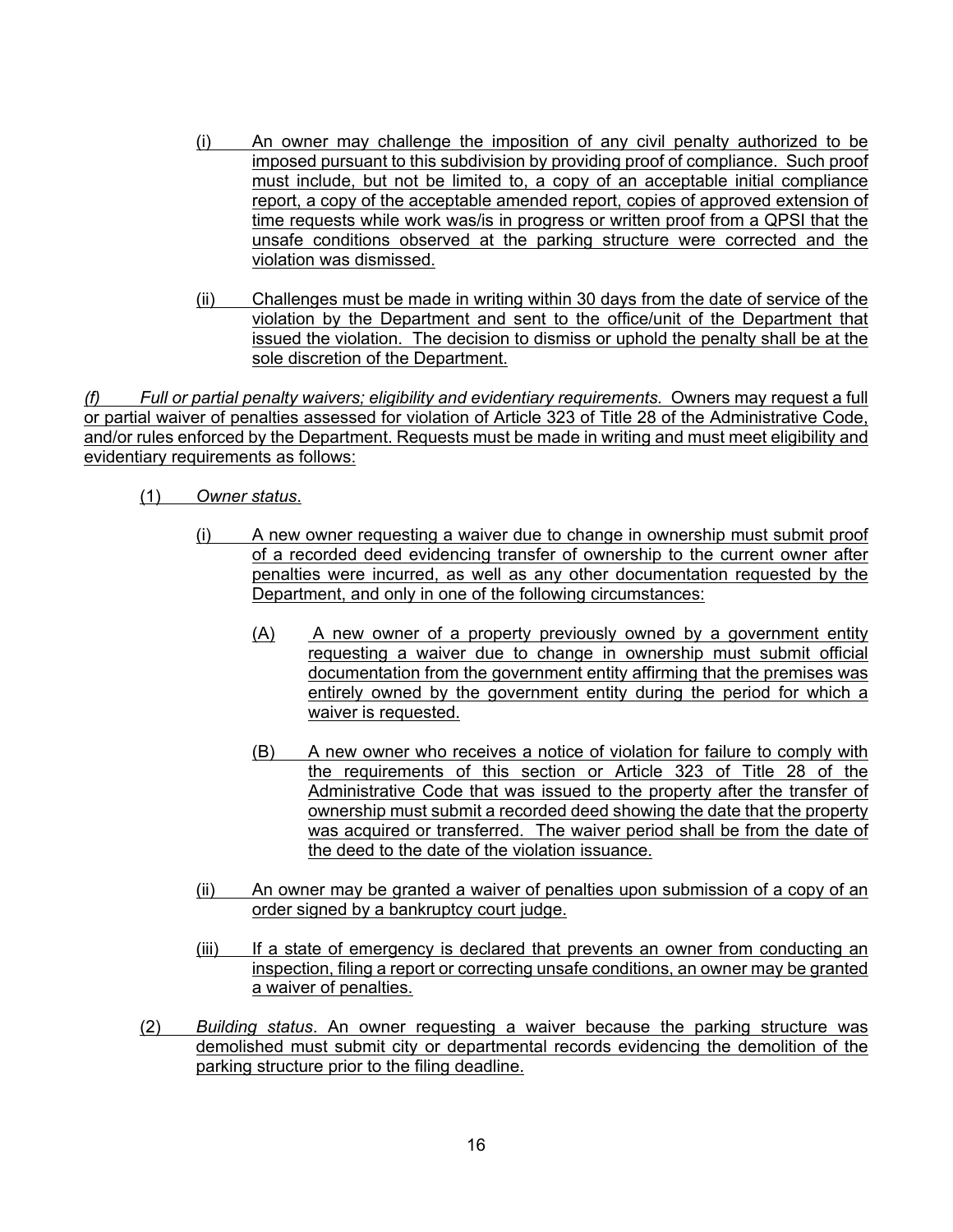- (i) An owner may challenge the imposition of any civil penalty authorized to be imposed pursuant to this subdivision by providing proof of compliance. Such proof must include, but not be limited to, a copy of an acceptable initial compliance report, a copy of the acceptable amended report, copies of approved extension of time requests while work was/is in progress or written proof from a QPSI that the unsafe conditions observed at the parking structure were corrected and the violation was dismissed.
- (ii) Challenges must be made in writing within 30 days from the date of service of the violation by the Department and sent to the office/unit of the Department that issued the violation. The decision to dismiss or uphold the penalty shall be at the sole discretion of the Department.

*(f) Full or partial penalty waivers; eligibility and evidentiary requirements.* Owners may request a full or partial waiver of penalties assessed for violation of Article 323 of Title 28 of the Administrative Code, and/or rules enforced by the Department. Requests must be made in writing and must meet eligibility and evidentiary requirements as follows:

- (1) *Owner status*.
	- (i) A new owner requesting a waiver due to change in ownership must submit proof of a recorded deed evidencing transfer of ownership to the current owner after penalties were incurred, as well as any other documentation requested by the Department, and only in one of the following circumstances:
		- (A) A new owner of a property previously owned by a government entity requesting a waiver due to change in ownership must submit official documentation from the government entity affirming that the premises was entirely owned by the government entity during the period for which a waiver is requested.
		- (B) A new owner who receives a notice of violation for failure to comply with the requirements of this section or Article 323 of Title 28 of the Administrative Code that was issued to the property after the transfer of ownership must submit a recorded deed showing the date that the property was acquired or transferred. The waiver period shall be from the date of the deed to the date of the violation issuance.
	- (ii) An owner may be granted a waiver of penalties upon submission of a copy of an order signed by a bankruptcy court judge.
	- (iii) If a state of emergency is declared that prevents an owner from conducting an inspection, filing a report or correcting unsafe conditions, an owner may be granted a waiver of penalties.
- (2) *Building status*. An owner requesting a waiver because the parking structure was demolished must submit city or departmental records evidencing the demolition of the parking structure prior to the filing deadline.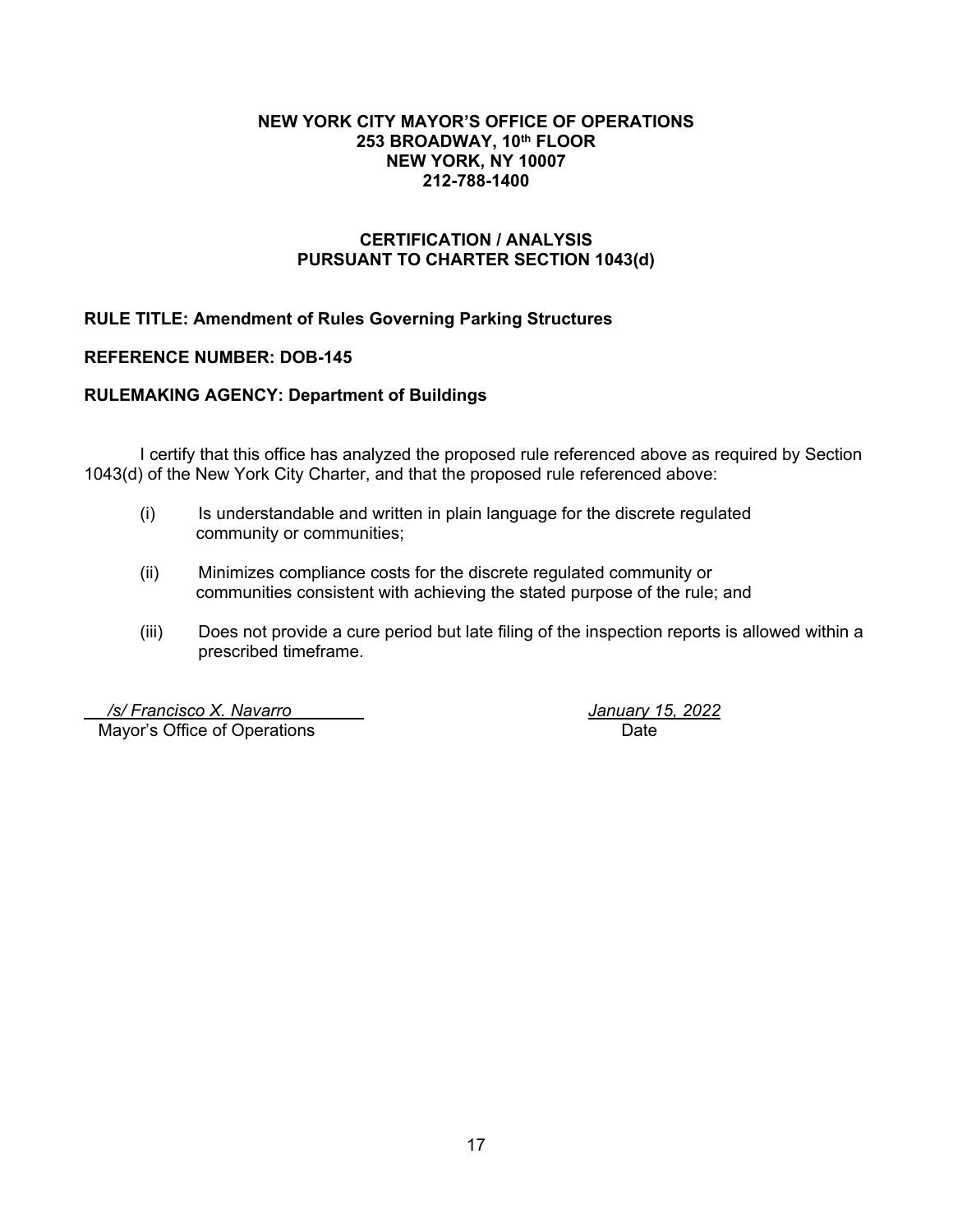#### **NEW YORK CITY MAYOR'S OFFICE OF OPERATIONS 253 BROADWAY, 10th FLOOR NEW YORK, NY 10007 212-788-1400**

# **CERTIFICATION / ANALYSIS PURSUANT TO CHARTER SECTION 1043(d)**

**RULE TITLE: Amendment of Rules Governing Parking Structures**

#### **REFERENCE NUMBER: DOB-145**

#### **RULEMAKING AGENCY: Department of Buildings**

I certify that this office has analyzed the proposed rule referenced above as required by Section 1043(d) of the New York City Charter, and that the proposed rule referenced above:

- (i) Is understandable and written in plain language for the discrete regulated community or communities;
- (ii) Minimizes compliance costs for the discrete regulated community or communities consistent with achieving the stated purpose of the rule; and
- (iii) Does not provide a cure period but late filing of the inspection reports is allowed within a prescribed timeframe.

 */s/ Francisco X. Navarro January 15, 2022* Mayor's Office of Operations **Date**